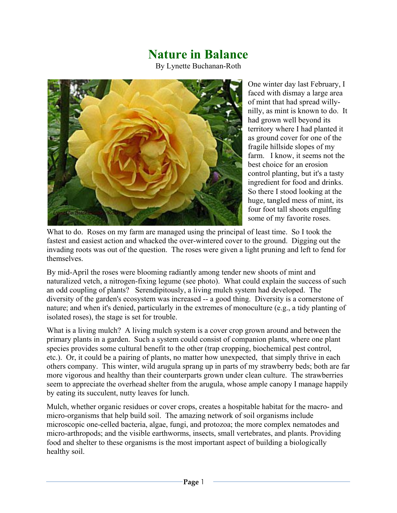## **Nature in Balance**

By Lynette Buchanan-Roth



One winter day last February, I faced with dismay a large area of mint that had spread willynilly, as mint is known to do. It had grown well beyond its territory where I had planted it as ground cover for one of the fragile hillside slopes of my farm. I know, it seems not the best choice for an erosion control planting, but it's a tasty ingredient for food and drinks. So there I stood looking at the huge, tangled mess of mint, its four foot tall shoots engulfing some of my favorite roses.

What to do. Roses on my farm are managed using the principal of least time. So I took the fastest and easiest action and whacked the over-wintered cover to the ground. Digging out the invading roots was out of the question. The roses were given a light pruning and left to fend for themselves.

By mid-April the roses were blooming radiantly among tender new shoots of mint and naturalized vetch, a nitrogen-fixing legume (see photo). What could explain the success of such an odd coupling of plants? Serendipitously, a living mulch system had developed. The diversity of the garden's ecosystem was increased -- a good thing. Diversity is a cornerstone of nature; and when it's denied, particularly in the extremes of monoculture (e.g., a tidy planting of isolated roses), the stage is set for trouble.

What is a living mulch? A living mulch system is a cover crop grown around and between the primary plants in a garden. Such a system could consist of companion plants, where one plant species provides some cultural benefit to the other (trap cropping, biochemical pest control, etc.). Or, it could be a pairing of plants, no matter how unexpected, that simply thrive in each others company. This winter, wild arugula sprang up in parts of my strawberry beds; both are far more vigorous and healthy than their counterparts grown under clean culture. The strawberries seem to appreciate the overhead shelter from the arugula, whose ample canopy I manage happily by eating its succulent, nutty leaves for lunch.

Mulch, whether organic residues or cover crops, creates a hospitable habitat for the macro- and micro-organisms that help build soil. The amazing network of soil organisms include microscopic one-celled bacteria, algae, fungi, and protozoa; the more complex nematodes and micro-arthropods; and the visible earthworms, insects, small vertebrates, and plants. Providing food and shelter to these organisms is the most important aspect of building a biologically healthy soil.